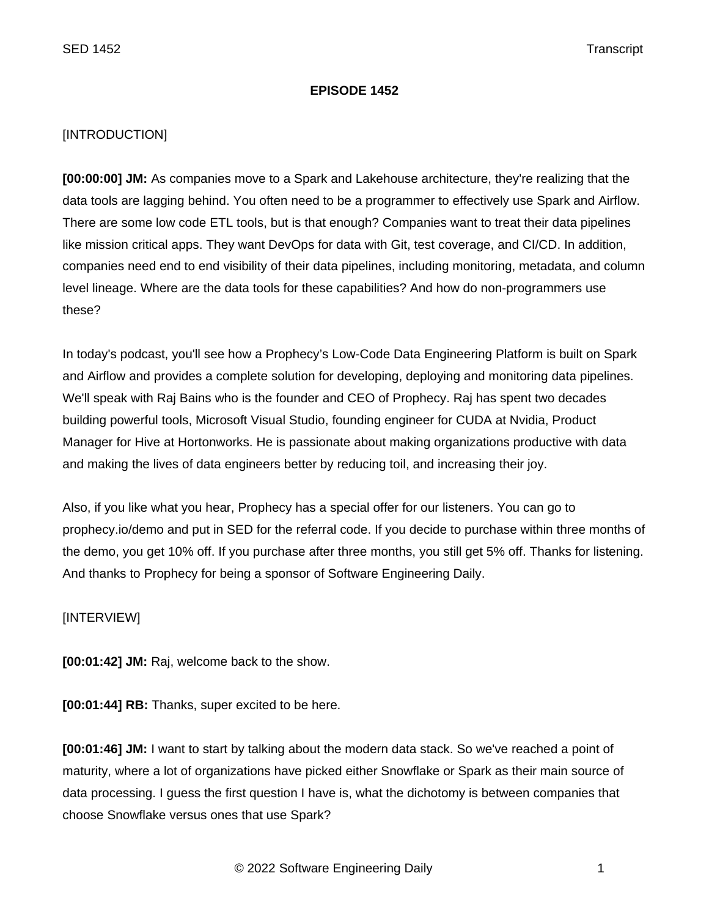## **EPISODE 1452**

## [INTRODUCTION]

**[00:00:00] JM:** As companies move to a Spark and Lakehouse architecture, they're realizing that the data tools are lagging behind. You often need to be a programmer to effectively use Spark and Airflow. There are some low code ETL tools, but is that enough? Companies want to treat their data pipelines like mission critical apps. They want DevOps for data with Git, test coverage, and CI/CD. In addition, companies need end to end visibility of their data pipelines, including monitoring, metadata, and column level lineage. Where are the data tools for these capabilities? And how do non-programmers use these?

In today's podcast, you'll see how a Prophecy's Low-Code Data Engineering Platform is built on Spark and Airflow and provides a complete solution for developing, deploying and monitoring data pipelines. We'll speak with Raj Bains who is the founder and CEO of Prophecy. Raj has spent two decades building powerful tools, Microsoft Visual Studio, founding engineer for CUDA at Nvidia, Product Manager for Hive at Hortonworks. He is passionate about making organizations productive with data and making the lives of data engineers better by reducing toil, and increasing their joy.

Also, if you like what you hear, Prophecy has a special offer for our listeners. You can go to prophecy.io/demo and put in SED for the referral code. If you decide to purchase within three months of the demo, you get 10% off. If you purchase after three months, you still get 5% off. Thanks for listening. And thanks to Prophecy for being a sponsor of Software Engineering Daily.

[INTERVIEW]

**[00:01:42] JM:** Raj, welcome back to the show.

**[00:01:44] RB:** Thanks, super excited to be here.

**[00:01:46] JM:** I want to start by talking about the modern data stack. So we've reached a point of maturity, where a lot of organizations have picked either Snowflake or Spark as their main source of data processing. I guess the first question I have is, what the dichotomy is between companies that choose Snowflake versus ones that use Spark?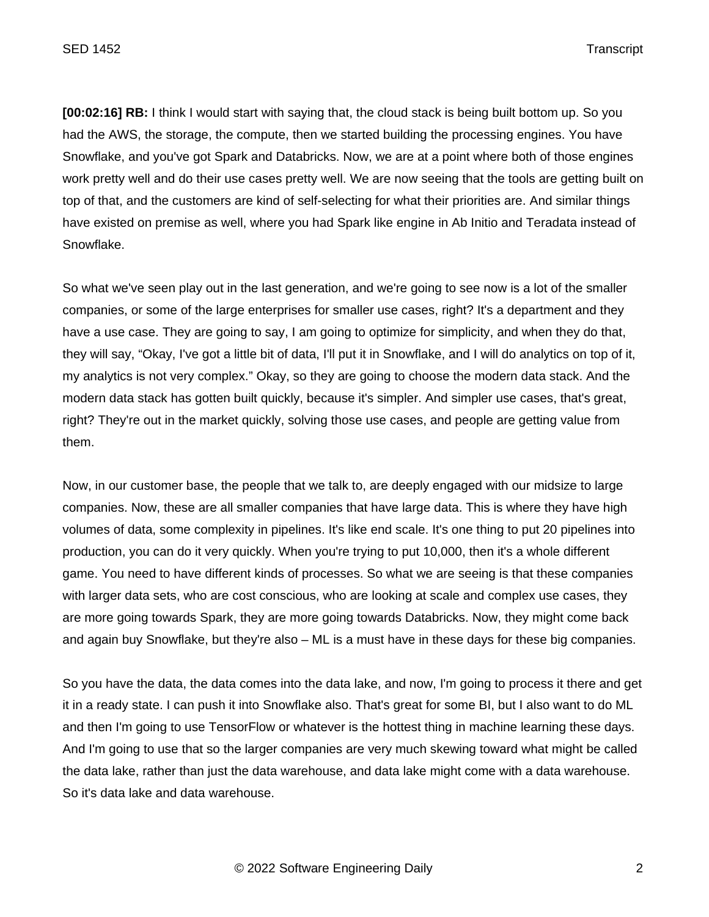**[00:02:16] RB:** I think I would start with saying that, the cloud stack is being built bottom up. So you had the AWS, the storage, the compute, then we started building the processing engines. You have Snowflake, and you've got Spark and Databricks. Now, we are at a point where both of those engines work pretty well and do their use cases pretty well. We are now seeing that the tools are getting built on top of that, and the customers are kind of self-selecting for what their priorities are. And similar things have existed on premise as well, where you had Spark like engine in Ab Initio and Teradata instead of Snowflake.

So what we've seen play out in the last generation, and we're going to see now is a lot of the smaller companies, or some of the large enterprises for smaller use cases, right? It's a department and they have a use case. They are going to say, I am going to optimize for simplicity, and when they do that, they will say, "Okay, I've got a little bit of data, I'll put it in Snowflake, and I will do analytics on top of it, my analytics is not very complex." Okay, so they are going to choose the modern data stack. And the modern data stack has gotten built quickly, because it's simpler. And simpler use cases, that's great, right? They're out in the market quickly, solving those use cases, and people are getting value from them.

Now, in our customer base, the people that we talk to, are deeply engaged with our midsize to large companies. Now, these are all smaller companies that have large data. This is where they have high volumes of data, some complexity in pipelines. It's like end scale. It's one thing to put 20 pipelines into production, you can do it very quickly. When you're trying to put 10,000, then it's a whole different game. You need to have different kinds of processes. So what we are seeing is that these companies with larger data sets, who are cost conscious, who are looking at scale and complex use cases, they are more going towards Spark, they are more going towards Databricks. Now, they might come back and again buy Snowflake, but they're also – ML is a must have in these days for these big companies.

So you have the data, the data comes into the data lake, and now, I'm going to process it there and get it in a ready state. I can push it into Snowflake also. That's great for some BI, but I also want to do ML and then I'm going to use TensorFlow or whatever is the hottest thing in machine learning these days. And I'm going to use that so the larger companies are very much skewing toward what might be called the data lake, rather than just the data warehouse, and data lake might come with a data warehouse. So it's data lake and data warehouse.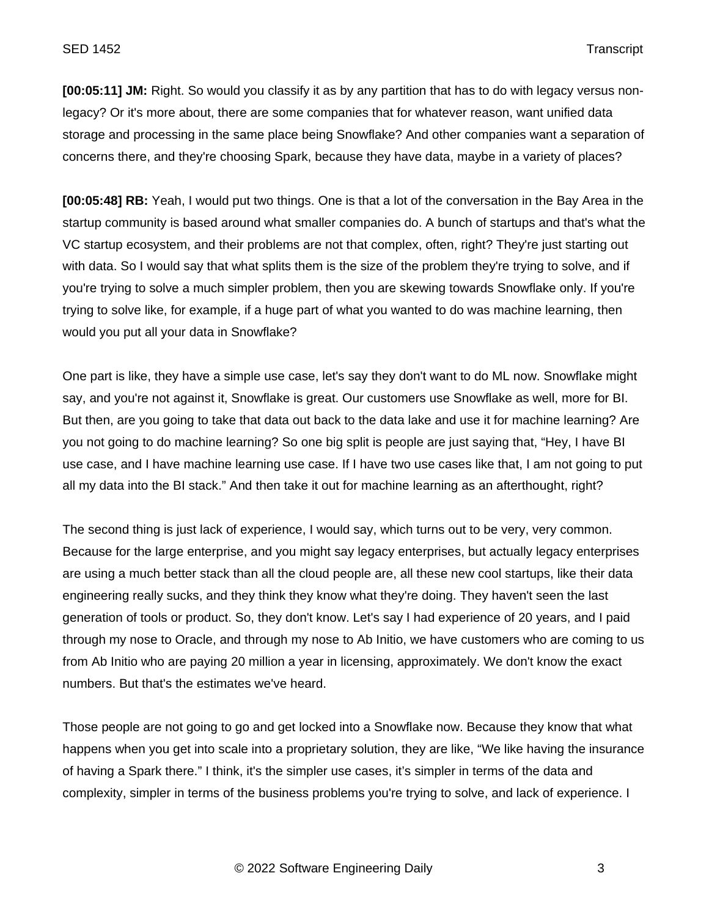**[00:05:11] JM:** Right. So would you classify it as by any partition that has to do with legacy versus nonlegacy? Or it's more about, there are some companies that for whatever reason, want unified data storage and processing in the same place being Snowflake? And other companies want a separation of concerns there, and they're choosing Spark, because they have data, maybe in a variety of places?

**[00:05:48] RB:** Yeah, I would put two things. One is that a lot of the conversation in the Bay Area in the startup community is based around what smaller companies do. A bunch of startups and that's what the VC startup ecosystem, and their problems are not that complex, often, right? They're just starting out with data. So I would say that what splits them is the size of the problem they're trying to solve, and if you're trying to solve a much simpler problem, then you are skewing towards Snowflake only. If you're trying to solve like, for example, if a huge part of what you wanted to do was machine learning, then would you put all your data in Snowflake?

One part is like, they have a simple use case, let's say they don't want to do ML now. Snowflake might say, and you're not against it, Snowflake is great. Our customers use Snowflake as well, more for BI. But then, are you going to take that data out back to the data lake and use it for machine learning? Are you not going to do machine learning? So one big split is people are just saying that, "Hey, I have BI use case, and I have machine learning use case. If I have two use cases like that, I am not going to put all my data into the BI stack." And then take it out for machine learning as an afterthought, right?

The second thing is just lack of experience, I would say, which turns out to be very, very common. Because for the large enterprise, and you might say legacy enterprises, but actually legacy enterprises are using a much better stack than all the cloud people are, all these new cool startups, like their data engineering really sucks, and they think they know what they're doing. They haven't seen the last generation of tools or product. So, they don't know. Let's say I had experience of 20 years, and I paid through my nose to Oracle, and through my nose to Ab Initio, we have customers who are coming to us from Ab Initio who are paying 20 million a year in licensing, approximately. We don't know the exact numbers. But that's the estimates we've heard.

Those people are not going to go and get locked into a Snowflake now. Because they know that what happens when you get into scale into a proprietary solution, they are like, "We like having the insurance of having a Spark there." I think, it's the simpler use cases, it's simpler in terms of the data and complexity, simpler in terms of the business problems you're trying to solve, and lack of experience. I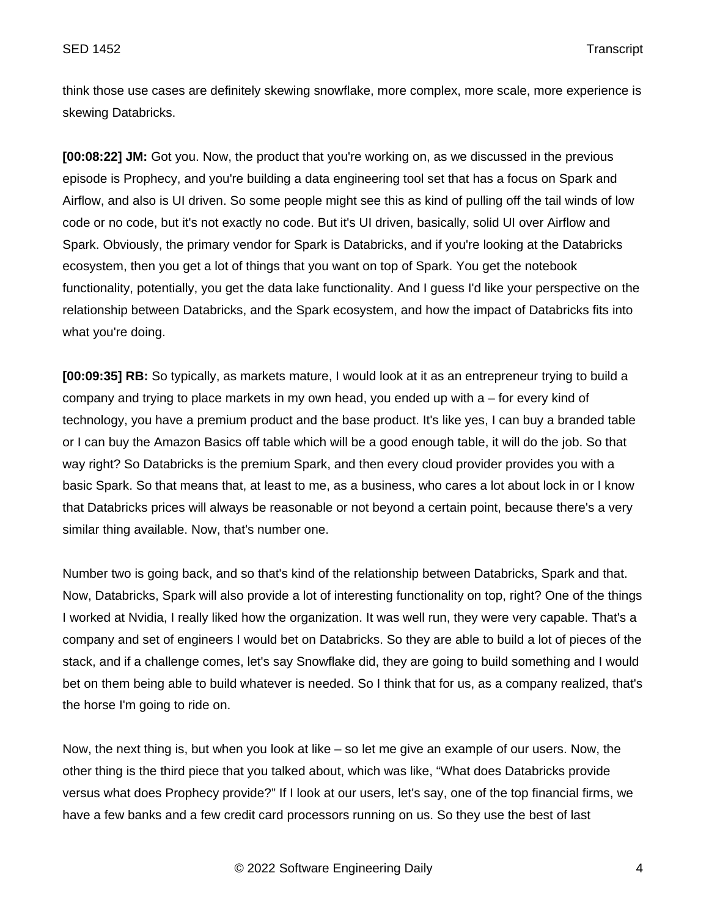think those use cases are definitely skewing snowflake, more complex, more scale, more experience is skewing Databricks.

**[00:08:22] JM:** Got you. Now, the product that you're working on, as we discussed in the previous episode is Prophecy, and you're building a data engineering tool set that has a focus on Spark and Airflow, and also is UI driven. So some people might see this as kind of pulling off the tail winds of low code or no code, but it's not exactly no code. But it's UI driven, basically, solid UI over Airflow and Spark. Obviously, the primary vendor for Spark is Databricks, and if you're looking at the Databricks ecosystem, then you get a lot of things that you want on top of Spark. You get the notebook functionality, potentially, you get the data lake functionality. And I guess I'd like your perspective on the relationship between Databricks, and the Spark ecosystem, and how the impact of Databricks fits into what you're doing.

**[00:09:35] RB:** So typically, as markets mature, I would look at it as an entrepreneur trying to build a company and trying to place markets in my own head, you ended up with a – for every kind of technology, you have a premium product and the base product. It's like yes, I can buy a branded table or I can buy the Amazon Basics off table which will be a good enough table, it will do the job. So that way right? So Databricks is the premium Spark, and then every cloud provider provides you with a basic Spark. So that means that, at least to me, as a business, who cares a lot about lock in or I know that Databricks prices will always be reasonable or not beyond a certain point, because there's a very similar thing available. Now, that's number one.

Number two is going back, and so that's kind of the relationship between Databricks, Spark and that. Now, Databricks, Spark will also provide a lot of interesting functionality on top, right? One of the things I worked at Nvidia, I really liked how the organization. It was well run, they were very capable. That's a company and set of engineers I would bet on Databricks. So they are able to build a lot of pieces of the stack, and if a challenge comes, let's say Snowflake did, they are going to build something and I would bet on them being able to build whatever is needed. So I think that for us, as a company realized, that's the horse I'm going to ride on.

Now, the next thing is, but when you look at like – so let me give an example of our users. Now, the other thing is the third piece that you talked about, which was like, "What does Databricks provide versus what does Prophecy provide?" If I look at our users, let's say, one of the top financial firms, we have a few banks and a few credit card processors running on us. So they use the best of last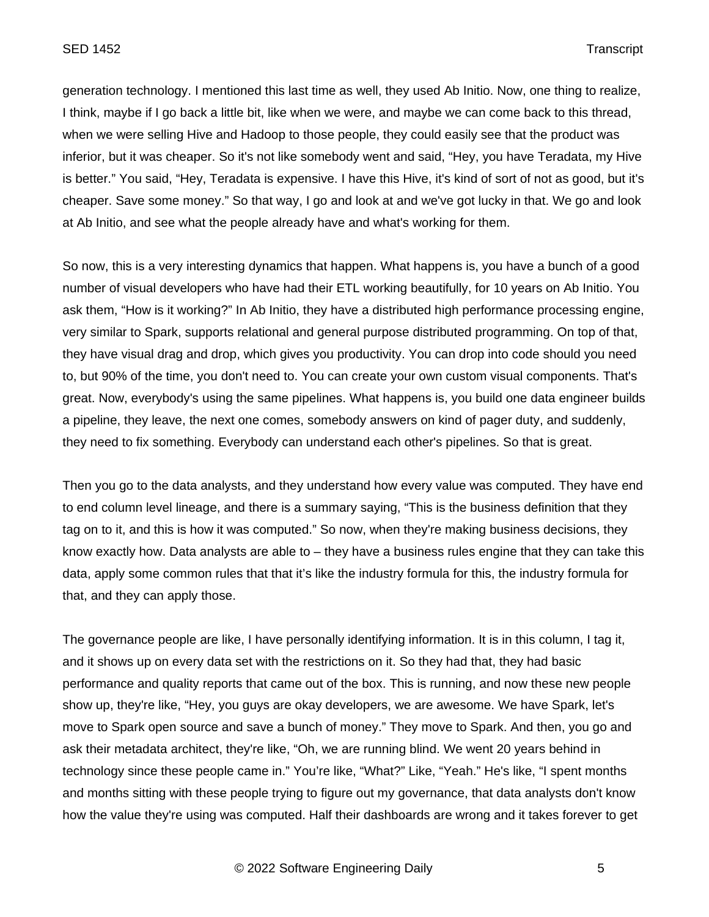generation technology. I mentioned this last time as well, they used Ab Initio. Now, one thing to realize, I think, maybe if I go back a little bit, like when we were, and maybe we can come back to this thread, when we were selling Hive and Hadoop to those people, they could easily see that the product was inferior, but it was cheaper. So it's not like somebody went and said, "Hey, you have Teradata, my Hive is better." You said, "Hey, Teradata is expensive. I have this Hive, it's kind of sort of not as good, but it's cheaper. Save some money." So that way, I go and look at and we've got lucky in that. We go and look at Ab Initio, and see what the people already have and what's working for them.

So now, this is a very interesting dynamics that happen. What happens is, you have a bunch of a good number of visual developers who have had their ETL working beautifully, for 10 years on Ab Initio. You ask them, "How is it working?" In Ab Initio, they have a distributed high performance processing engine, very similar to Spark, supports relational and general purpose distributed programming. On top of that, they have visual drag and drop, which gives you productivity. You can drop into code should you need to, but 90% of the time, you don't need to. You can create your own custom visual components. That's great. Now, everybody's using the same pipelines. What happens is, you build one data engineer builds a pipeline, they leave, the next one comes, somebody answers on kind of pager duty, and suddenly, they need to fix something. Everybody can understand each other's pipelines. So that is great.

Then you go to the data analysts, and they understand how every value was computed. They have end to end column level lineage, and there is a summary saying, "This is the business definition that they tag on to it, and this is how it was computed." So now, when they're making business decisions, they know exactly how. Data analysts are able to – they have a business rules engine that they can take this data, apply some common rules that that it's like the industry formula for this, the industry formula for that, and they can apply those.

The governance people are like, I have personally identifying information. It is in this column, I tag it, and it shows up on every data set with the restrictions on it. So they had that, they had basic performance and quality reports that came out of the box. This is running, and now these new people show up, they're like, "Hey, you guys are okay developers, we are awesome. We have Spark, let's move to Spark open source and save a bunch of money." They move to Spark. And then, you go and ask their metadata architect, they're like, "Oh, we are running blind. We went 20 years behind in technology since these people came in." You're like, "What?" Like, "Yeah." He's like, "I spent months and months sitting with these people trying to figure out my governance, that data analysts don't know how the value they're using was computed. Half their dashboards are wrong and it takes forever to get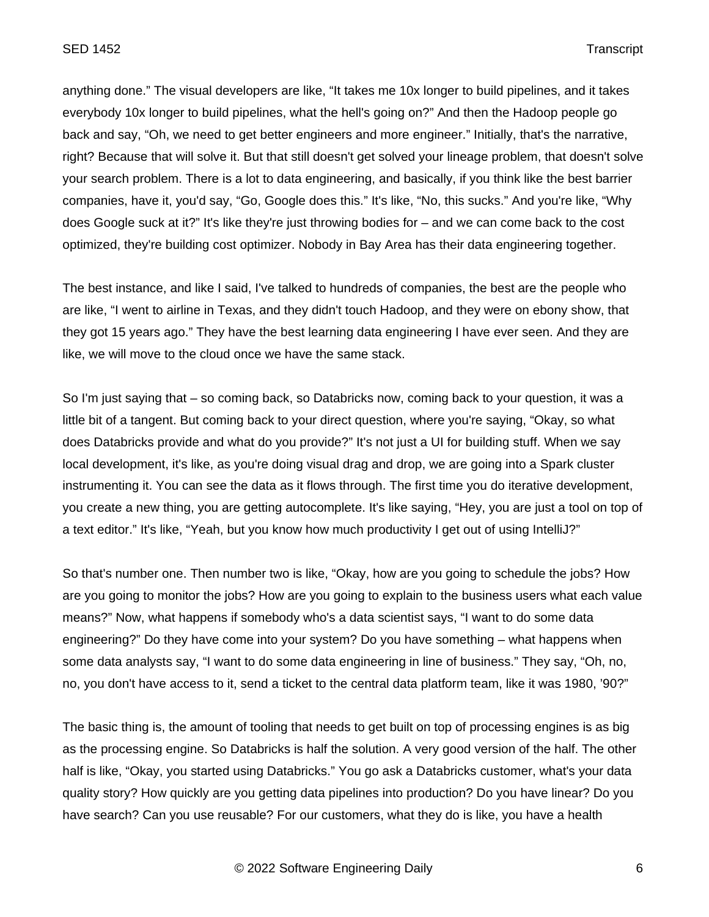anything done." The visual developers are like, "It takes me 10x longer to build pipelines, and it takes everybody 10x longer to build pipelines, what the hell's going on?" And then the Hadoop people go back and say, "Oh, we need to get better engineers and more engineer." Initially, that's the narrative, right? Because that will solve it. But that still doesn't get solved your lineage problem, that doesn't solve your search problem. There is a lot to data engineering, and basically, if you think like the best barrier companies, have it, you'd say, "Go, Google does this." It's like, "No, this sucks." And you're like, "Why does Google suck at it?" It's like they're just throwing bodies for – and we can come back to the cost optimized, they're building cost optimizer. Nobody in Bay Area has their data engineering together.

The best instance, and like I said, I've talked to hundreds of companies, the best are the people who are like, "I went to airline in Texas, and they didn't touch Hadoop, and they were on ebony show, that they got 15 years ago." They have the best learning data engineering I have ever seen. And they are like, we will move to the cloud once we have the same stack.

So I'm just saying that – so coming back, so Databricks now, coming back to your question, it was a little bit of a tangent. But coming back to your direct question, where you're saying, "Okay, so what does Databricks provide and what do you provide?" It's not just a UI for building stuff. When we say local development, it's like, as you're doing visual drag and drop, we are going into a Spark cluster instrumenting it. You can see the data as it flows through. The first time you do iterative development, you create a new thing, you are getting autocomplete. It's like saying, "Hey, you are just a tool on top of a text editor." It's like, "Yeah, but you know how much productivity I get out of using IntelliJ?"

So that's number one. Then number two is like, "Okay, how are you going to schedule the jobs? How are you going to monitor the jobs? How are you going to explain to the business users what each value means?" Now, what happens if somebody who's a data scientist says, "I want to do some data engineering?" Do they have come into your system? Do you have something – what happens when some data analysts say, "I want to do some data engineering in line of business." They say, "Oh, no, no, you don't have access to it, send a ticket to the central data platform team, like it was 1980, '90?"

The basic thing is, the amount of tooling that needs to get built on top of processing engines is as big as the processing engine. So Databricks is half the solution. A very good version of the half. The other half is like, "Okay, you started using Databricks." You go ask a Databricks customer, what's your data quality story? How quickly are you getting data pipelines into production? Do you have linear? Do you have search? Can you use reusable? For our customers, what they do is like, you have a health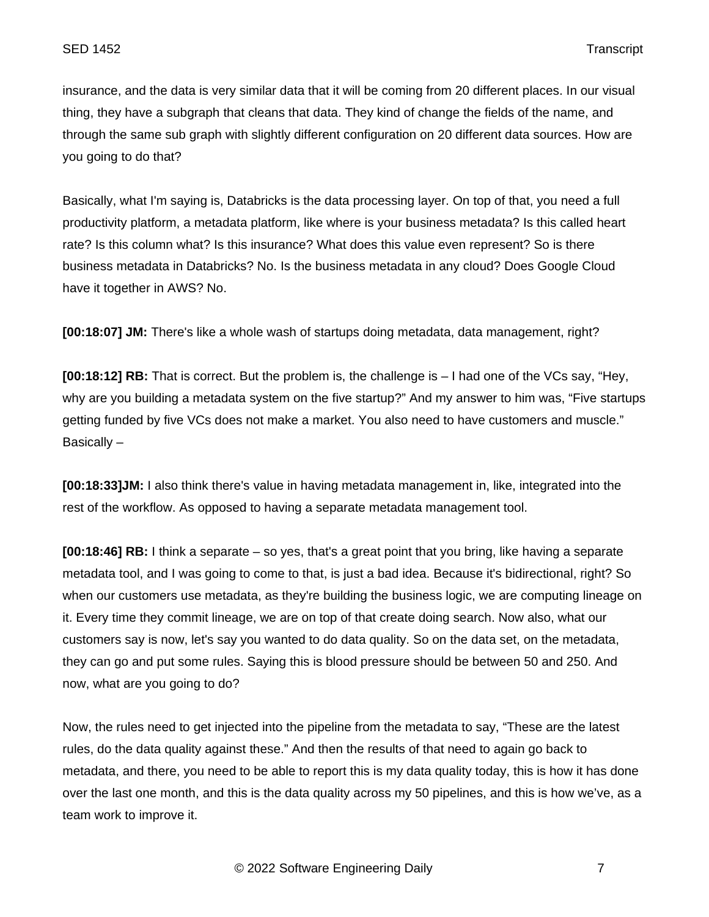insurance, and the data is very similar data that it will be coming from 20 different places. In our visual thing, they have a subgraph that cleans that data. They kind of change the fields of the name, and through the same sub graph with slightly different configuration on 20 different data sources. How are you going to do that?

Basically, what I'm saying is, Databricks is the data processing layer. On top of that, you need a full productivity platform, a metadata platform, like where is your business metadata? Is this called heart rate? Is this column what? Is this insurance? What does this value even represent? So is there business metadata in Databricks? No. Is the business metadata in any cloud? Does Google Cloud have it together in AWS? No.

**[00:18:07] JM:** There's like a whole wash of startups doing metadata, data management, right?

**[00:18:12] RB:** That is correct. But the problem is, the challenge is – I had one of the VCs say, "Hey, why are you building a metadata system on the five startup?" And my answer to him was, "Five startups getting funded by five VCs does not make a market. You also need to have customers and muscle." Basically –

**[00:18:33]JM:** I also think there's value in having metadata management in, like, integrated into the rest of the workflow. As opposed to having a separate metadata management tool.

**[00:18:46] RB:** I think a separate – so yes, that's a great point that you bring, like having a separate metadata tool, and I was going to come to that, is just a bad idea. Because it's bidirectional, right? So when our customers use metadata, as they're building the business logic, we are computing lineage on it. Every time they commit lineage, we are on top of that create doing search. Now also, what our customers say is now, let's say you wanted to do data quality. So on the data set, on the metadata, they can go and put some rules. Saying this is blood pressure should be between 50 and 250. And now, what are you going to do?

Now, the rules need to get injected into the pipeline from the metadata to say, "These are the latest rules, do the data quality against these." And then the results of that need to again go back to metadata, and there, you need to be able to report this is my data quality today, this is how it has done over the last one month, and this is the data quality across my 50 pipelines, and this is how we've, as a team work to improve it.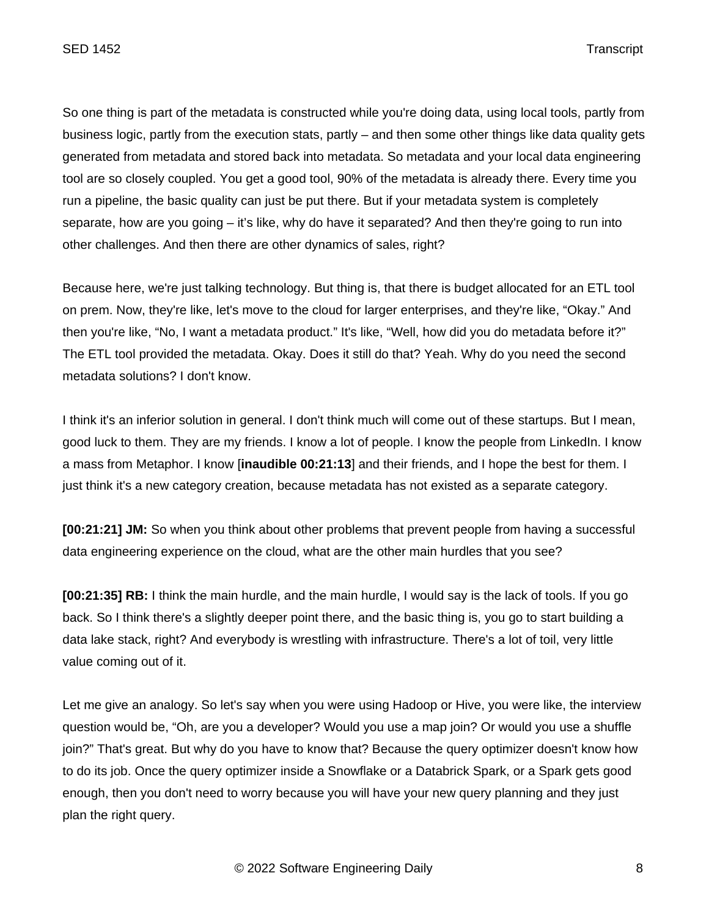So one thing is part of the metadata is constructed while you're doing data, using local tools, partly from business logic, partly from the execution stats, partly – and then some other things like data quality gets generated from metadata and stored back into metadata. So metadata and your local data engineering tool are so closely coupled. You get a good tool, 90% of the metadata is already there. Every time you run a pipeline, the basic quality can just be put there. But if your metadata system is completely separate, how are you going – it's like, why do have it separated? And then they're going to run into other challenges. And then there are other dynamics of sales, right?

Because here, we're just talking technology. But thing is, that there is budget allocated for an ETL tool on prem. Now, they're like, let's move to the cloud for larger enterprises, and they're like, "Okay." And then you're like, "No, I want a metadata product." It's like, "Well, how did you do metadata before it?" The ETL tool provided the metadata. Okay. Does it still do that? Yeah. Why do you need the second metadata solutions? I don't know.

I think it's an inferior solution in general. I don't think much will come out of these startups. But I mean, good luck to them. They are my friends. I know a lot of people. I know the people from LinkedIn. I know a mass from Metaphor. I know [**inaudible 00:21:13**] and their friends, and I hope the best for them. I just think it's a new category creation, because metadata has not existed as a separate category.

**[00:21:21] JM:** So when you think about other problems that prevent people from having a successful data engineering experience on the cloud, what are the other main hurdles that you see?

**[00:21:35] RB:** I think the main hurdle, and the main hurdle, I would say is the lack of tools. If you go back. So I think there's a slightly deeper point there, and the basic thing is, you go to start building a data lake stack, right? And everybody is wrestling with infrastructure. There's a lot of toil, very little value coming out of it.

Let me give an analogy. So let's say when you were using Hadoop or Hive, you were like, the interview question would be, "Oh, are you a developer? Would you use a map join? Or would you use a shuffle join?" That's great. But why do you have to know that? Because the query optimizer doesn't know how to do its job. Once the query optimizer inside a Snowflake or a Databrick Spark, or a Spark gets good enough, then you don't need to worry because you will have your new query planning and they just plan the right query.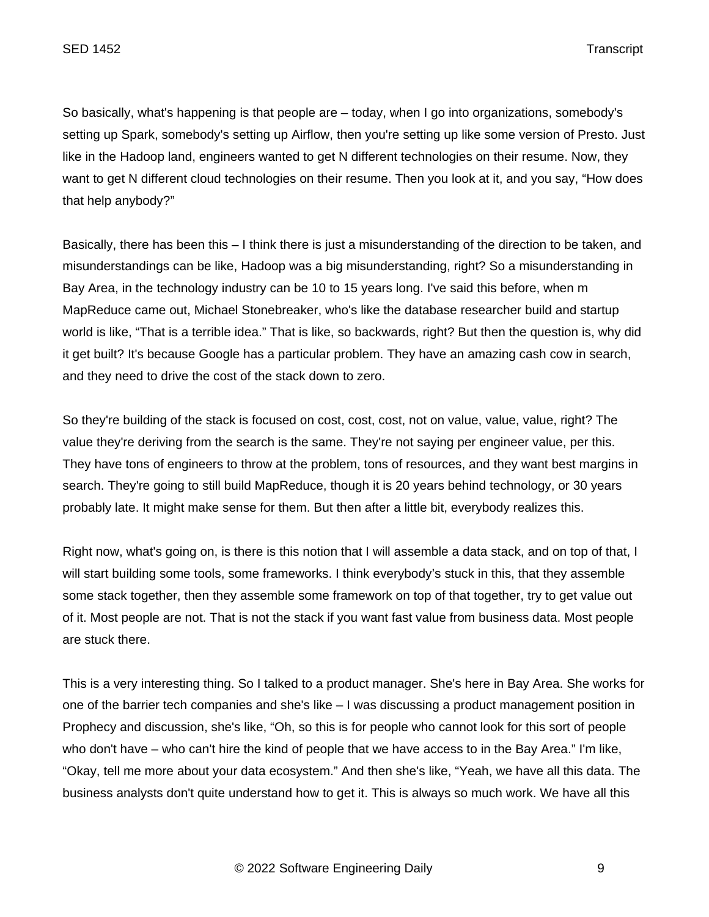So basically, what's happening is that people are – today, when I go into organizations, somebody's setting up Spark, somebody's setting up Airflow, then you're setting up like some version of Presto. Just like in the Hadoop land, engineers wanted to get N different technologies on their resume. Now, they want to get N different cloud technologies on their resume. Then you look at it, and you say, "How does that help anybody?"

Basically, there has been this – I think there is just a misunderstanding of the direction to be taken, and misunderstandings can be like, Hadoop was a big misunderstanding, right? So a misunderstanding in Bay Area, in the technology industry can be 10 to 15 years long. I've said this before, when m MapReduce came out, Michael Stonebreaker, who's like the database researcher build and startup world is like, "That is a terrible idea." That is like, so backwards, right? But then the question is, why did it get built? It's because Google has a particular problem. They have an amazing cash cow in search, and they need to drive the cost of the stack down to zero.

So they're building of the stack is focused on cost, cost, cost, not on value, value, value, right? The value they're deriving from the search is the same. They're not saying per engineer value, per this. They have tons of engineers to throw at the problem, tons of resources, and they want best margins in search. They're going to still build MapReduce, though it is 20 years behind technology, or 30 years probably late. It might make sense for them. But then after a little bit, everybody realizes this.

Right now, what's going on, is there is this notion that I will assemble a data stack, and on top of that, I will start building some tools, some frameworks. I think everybody's stuck in this, that they assemble some stack together, then they assemble some framework on top of that together, try to get value out of it. Most people are not. That is not the stack if you want fast value from business data. Most people are stuck there.

This is a very interesting thing. So I talked to a product manager. She's here in Bay Area. She works for one of the barrier tech companies and she's like – I was discussing a product management position in Prophecy and discussion, she's like, "Oh, so this is for people who cannot look for this sort of people who don't have – who can't hire the kind of people that we have access to in the Bay Area." I'm like, "Okay, tell me more about your data ecosystem." And then she's like, "Yeah, we have all this data. The business analysts don't quite understand how to get it. This is always so much work. We have all this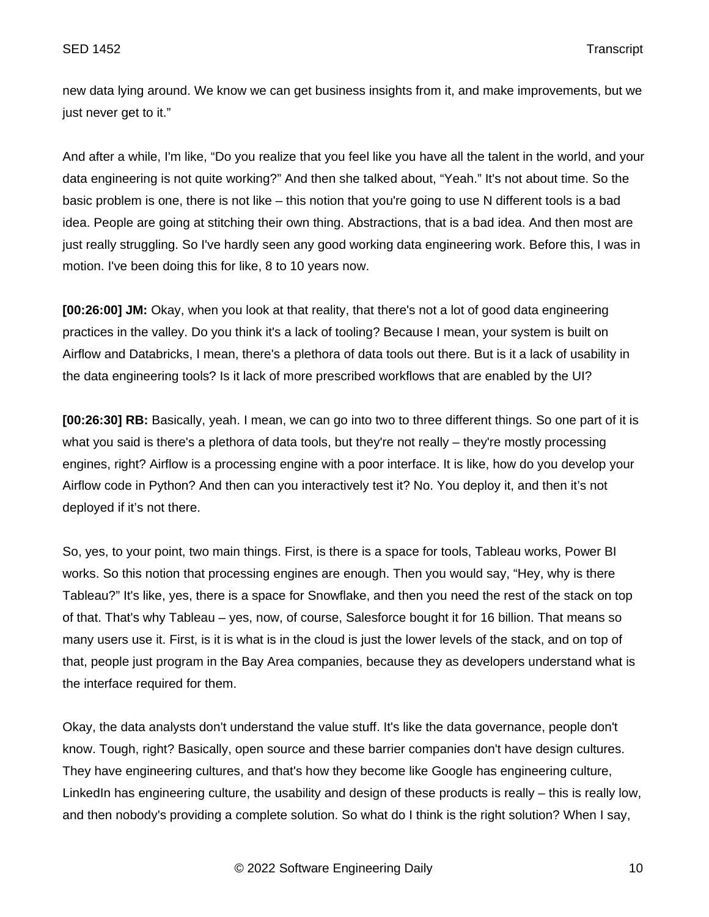new data lying around. We know we can get business insights from it, and make improvements, but we just never get to it."

And after a while, I'm like, "Do you realize that you feel like you have all the talent in the world, and your data engineering is not quite working?" And then she talked about, "Yeah." It's not about time. So the basic problem is one, there is not like – this notion that you're going to use N different tools is a bad idea. People are going at stitching their own thing. Abstractions, that is a bad idea. And then most are just really struggling. So I've hardly seen any good working data engineering work. Before this, I was in motion. I've been doing this for like, 8 to 10 years now.

**[00:26:00] JM:** Okay, when you look at that reality, that there's not a lot of good data engineering practices in the valley. Do you think it's a lack of tooling? Because I mean, your system is built on Airflow and Databricks, I mean, there's a plethora of data tools out there. But is it a lack of usability in the data engineering tools? Is it lack of more prescribed workflows that are enabled by the UI?

**[00:26:30] RB:** Basically, yeah. I mean, we can go into two to three different things. So one part of it is what you said is there's a plethora of data tools, but they're not really – they're mostly processing engines, right? Airflow is a processing engine with a poor interface. It is like, how do you develop your Airflow code in Python? And then can you interactively test it? No. You deploy it, and then it's not deployed if it's not there.

So, yes, to your point, two main things. First, is there is a space for tools, Tableau works, Power BI works. So this notion that processing engines are enough. Then you would say, "Hey, why is there Tableau?" It's like, yes, there is a space for Snowflake, and then you need the rest of the stack on top of that. That's why Tableau – yes, now, of course, Salesforce bought it for 16 billion. That means so many users use it. First, is it is what is in the cloud is just the lower levels of the stack, and on top of that, people just program in the Bay Area companies, because they as developers understand what is the interface required for them.

Okay, the data analysts don't understand the value stuff. It's like the data governance, people don't know. Tough, right? Basically, open source and these barrier companies don't have design cultures. They have engineering cultures, and that's how they become like Google has engineering culture, LinkedIn has engineering culture, the usability and design of these products is really – this is really low, and then nobody's providing a complete solution. So what do I think is the right solution? When I say,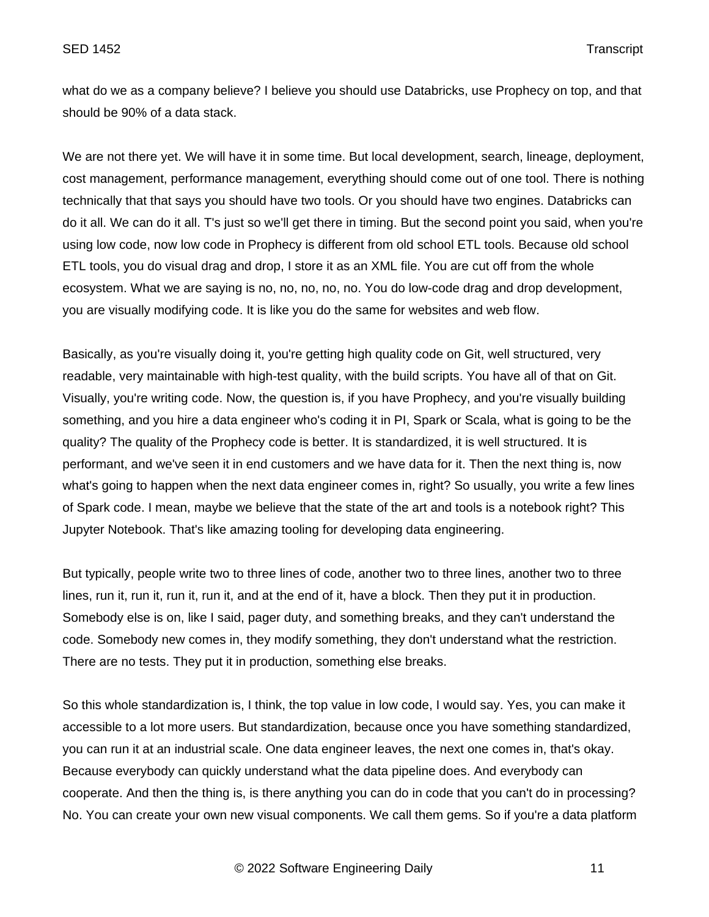what do we as a company believe? I believe you should use Databricks, use Prophecy on top, and that should be 90% of a data stack.

We are not there yet. We will have it in some time. But local development, search, lineage, deployment, cost management, performance management, everything should come out of one tool. There is nothing technically that that says you should have two tools. Or you should have two engines. Databricks can do it all. We can do it all. T's just so we'll get there in timing. But the second point you said, when you're using low code, now low code in Prophecy is different from old school ETL tools. Because old school ETL tools, you do visual drag and drop, I store it as an XML file. You are cut off from the whole ecosystem. What we are saying is no, no, no, no, no. You do low-code drag and drop development, you are visually modifying code. It is like you do the same for websites and web flow.

Basically, as you're visually doing it, you're getting high quality code on Git, well structured, very readable, very maintainable with high-test quality, with the build scripts. You have all of that on Git. Visually, you're writing code. Now, the question is, if you have Prophecy, and you're visually building something, and you hire a data engineer who's coding it in PI, Spark or Scala, what is going to be the quality? The quality of the Prophecy code is better. It is standardized, it is well structured. It is performant, and we've seen it in end customers and we have data for it. Then the next thing is, now what's going to happen when the next data engineer comes in, right? So usually, you write a few lines of Spark code. I mean, maybe we believe that the state of the art and tools is a notebook right? This Jupyter Notebook. That's like amazing tooling for developing data engineering.

But typically, people write two to three lines of code, another two to three lines, another two to three lines, run it, run it, run it, run it, and at the end of it, have a block. Then they put it in production. Somebody else is on, like I said, pager duty, and something breaks, and they can't understand the code. Somebody new comes in, they modify something, they don't understand what the restriction. There are no tests. They put it in production, something else breaks.

So this whole standardization is, I think, the top value in low code, I would say. Yes, you can make it accessible to a lot more users. But standardization, because once you have something standardized, you can run it at an industrial scale. One data engineer leaves, the next one comes in, that's okay. Because everybody can quickly understand what the data pipeline does. And everybody can cooperate. And then the thing is, is there anything you can do in code that you can't do in processing? No. You can create your own new visual components. We call them gems. So if you're a data platform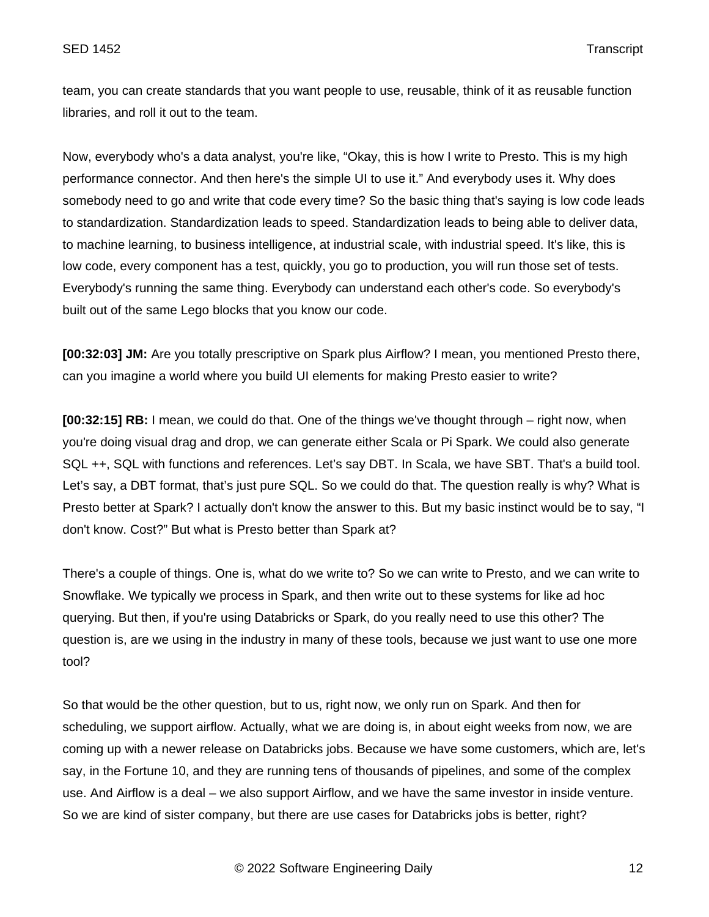team, you can create standards that you want people to use, reusable, think of it as reusable function libraries, and roll it out to the team.

Now, everybody who's a data analyst, you're like, "Okay, this is how I write to Presto. This is my high performance connector. And then here's the simple UI to use it." And everybody uses it. Why does somebody need to go and write that code every time? So the basic thing that's saying is low code leads to standardization. Standardization leads to speed. Standardization leads to being able to deliver data, to machine learning, to business intelligence, at industrial scale, with industrial speed. It's like, this is low code, every component has a test, quickly, you go to production, you will run those set of tests. Everybody's running the same thing. Everybody can understand each other's code. So everybody's built out of the same Lego blocks that you know our code.

**[00:32:03] JM:** Are you totally prescriptive on Spark plus Airflow? I mean, you mentioned Presto there, can you imagine a world where you build UI elements for making Presto easier to write?

**[00:32:15] RB:** I mean, we could do that. One of the things we've thought through – right now, when you're doing visual drag and drop, we can generate either Scala or Pi Spark. We could also generate SQL ++, SQL with functions and references. Let's say DBT. In Scala, we have SBT. That's a build tool. Let's say, a DBT format, that's just pure SQL. So we could do that. The question really is why? What is Presto better at Spark? I actually don't know the answer to this. But my basic instinct would be to say, "I don't know. Cost?" But what is Presto better than Spark at?

There's a couple of things. One is, what do we write to? So we can write to Presto, and we can write to Snowflake. We typically we process in Spark, and then write out to these systems for like ad hoc querying. But then, if you're using Databricks or Spark, do you really need to use this other? The question is, are we using in the industry in many of these tools, because we just want to use one more tool?

So that would be the other question, but to us, right now, we only run on Spark. And then for scheduling, we support airflow. Actually, what we are doing is, in about eight weeks from now, we are coming up with a newer release on Databricks jobs. Because we have some customers, which are, let's say, in the Fortune 10, and they are running tens of thousands of pipelines, and some of the complex use. And Airflow is a deal – we also support Airflow, and we have the same investor in inside venture. So we are kind of sister company, but there are use cases for Databricks jobs is better, right?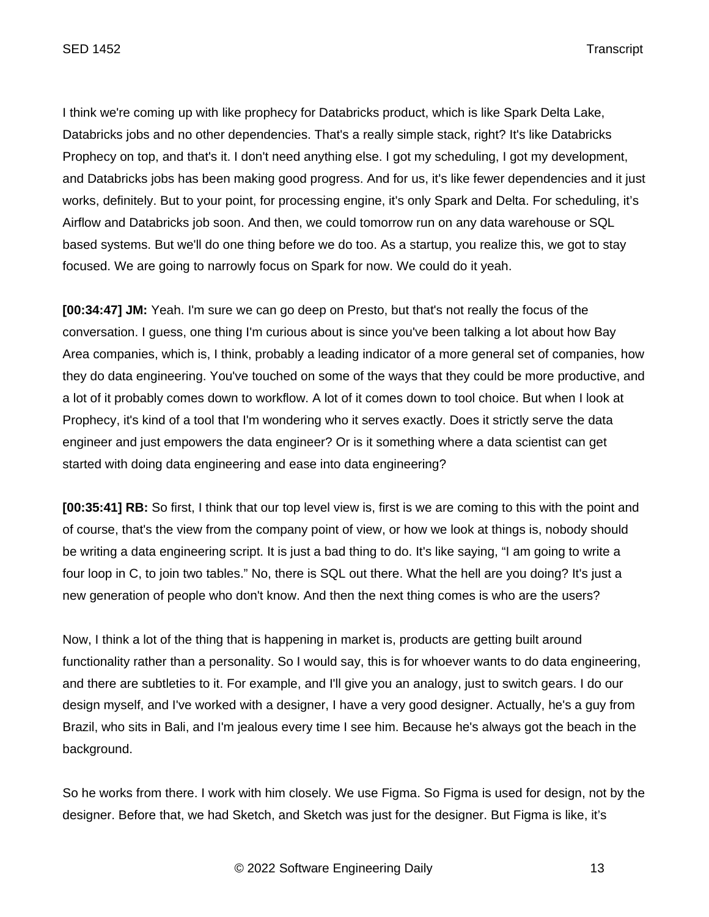I think we're coming up with like prophecy for Databricks product, which is like Spark Delta Lake, Databricks jobs and no other dependencies. That's a really simple stack, right? It's like Databricks Prophecy on top, and that's it. I don't need anything else. I got my scheduling, I got my development, and Databricks jobs has been making good progress. And for us, it's like fewer dependencies and it just works, definitely. But to your point, for processing engine, it's only Spark and Delta. For scheduling, it's Airflow and Databricks job soon. And then, we could tomorrow run on any data warehouse or SQL based systems. But we'll do one thing before we do too. As a startup, you realize this, we got to stay focused. We are going to narrowly focus on Spark for now. We could do it yeah.

**[00:34:47] JM:** Yeah. I'm sure we can go deep on Presto, but that's not really the focus of the conversation. I guess, one thing I'm curious about is since you've been talking a lot about how Bay Area companies, which is, I think, probably a leading indicator of a more general set of companies, how they do data engineering. You've touched on some of the ways that they could be more productive, and a lot of it probably comes down to workflow. A lot of it comes down to tool choice. But when I look at Prophecy, it's kind of a tool that I'm wondering who it serves exactly. Does it strictly serve the data engineer and just empowers the data engineer? Or is it something where a data scientist can get started with doing data engineering and ease into data engineering?

**[00:35:41] RB:** So first, I think that our top level view is, first is we are coming to this with the point and of course, that's the view from the company point of view, or how we look at things is, nobody should be writing a data engineering script. It is just a bad thing to do. It's like saying, "I am going to write a four loop in C, to join two tables." No, there is SQL out there. What the hell are you doing? It's just a new generation of people who don't know. And then the next thing comes is who are the users?

Now, I think a lot of the thing that is happening in market is, products are getting built around functionality rather than a personality. So I would say, this is for whoever wants to do data engineering, and there are subtleties to it. For example, and I'll give you an analogy, just to switch gears. I do our design myself, and I've worked with a designer, I have a very good designer. Actually, he's a guy from Brazil, who sits in Bali, and I'm jealous every time I see him. Because he's always got the beach in the background.

So he works from there. I work with him closely. We use Figma. So Figma is used for design, not by the designer. Before that, we had Sketch, and Sketch was just for the designer. But Figma is like, it's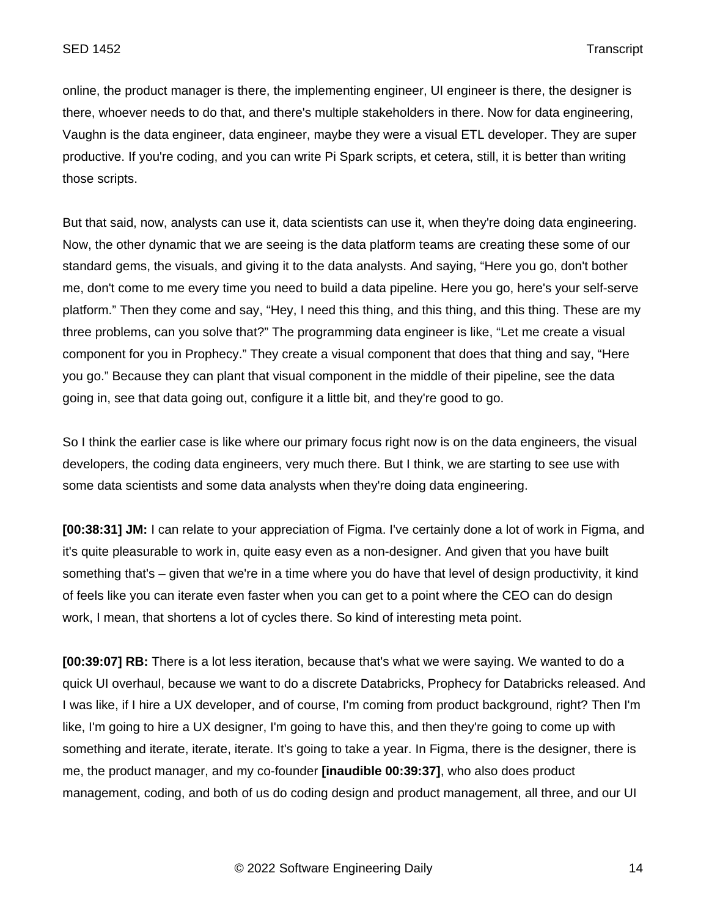online, the product manager is there, the implementing engineer, UI engineer is there, the designer is there, whoever needs to do that, and there's multiple stakeholders in there. Now for data engineering, Vaughn is the data engineer, data engineer, maybe they were a visual ETL developer. They are super productive. If you're coding, and you can write Pi Spark scripts, et cetera, still, it is better than writing those scripts.

But that said, now, analysts can use it, data scientists can use it, when they're doing data engineering. Now, the other dynamic that we are seeing is the data platform teams are creating these some of our standard gems, the visuals, and giving it to the data analysts. And saying, "Here you go, don't bother me, don't come to me every time you need to build a data pipeline. Here you go, here's your self-serve platform." Then they come and say, "Hey, I need this thing, and this thing, and this thing. These are my three problems, can you solve that?" The programming data engineer is like, "Let me create a visual component for you in Prophecy." They create a visual component that does that thing and say, "Here you go." Because they can plant that visual component in the middle of their pipeline, see the data going in, see that data going out, configure it a little bit, and they're good to go.

So I think the earlier case is like where our primary focus right now is on the data engineers, the visual developers, the coding data engineers, very much there. But I think, we are starting to see use with some data scientists and some data analysts when they're doing data engineering.

**[00:38:31] JM:** I can relate to your appreciation of Figma. I've certainly done a lot of work in Figma, and it's quite pleasurable to work in, quite easy even as a non-designer. And given that you have built something that's – given that we're in a time where you do have that level of design productivity, it kind of feels like you can iterate even faster when you can get to a point where the CEO can do design work, I mean, that shortens a lot of cycles there. So kind of interesting meta point.

**[00:39:07] RB:** There is a lot less iteration, because that's what we were saying. We wanted to do a quick UI overhaul, because we want to do a discrete Databricks, Prophecy for Databricks released. And I was like, if I hire a UX developer, and of course, I'm coming from product background, right? Then I'm like, I'm going to hire a UX designer, I'm going to have this, and then they're going to come up with something and iterate, iterate, iterate. It's going to take a year. In Figma, there is the designer, there is me, the product manager, and my co-founder **[inaudible 00:39:37]**, who also does product management, coding, and both of us do coding design and product management, all three, and our UI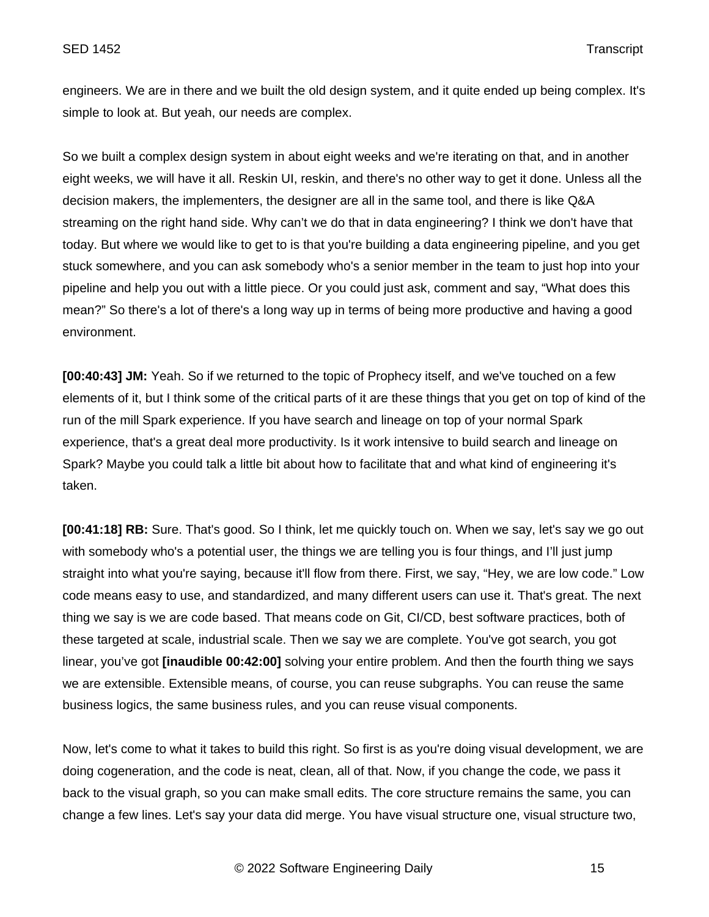engineers. We are in there and we built the old design system, and it quite ended up being complex. It's simple to look at. But yeah, our needs are complex.

So we built a complex design system in about eight weeks and we're iterating on that, and in another eight weeks, we will have it all. Reskin UI, reskin, and there's no other way to get it done. Unless all the decision makers, the implementers, the designer are all in the same tool, and there is like Q&A streaming on the right hand side. Why can't we do that in data engineering? I think we don't have that today. But where we would like to get to is that you're building a data engineering pipeline, and you get stuck somewhere, and you can ask somebody who's a senior member in the team to just hop into your pipeline and help you out with a little piece. Or you could just ask, comment and say, "What does this mean?" So there's a lot of there's a long way up in terms of being more productive and having a good environment.

**[00:40:43] JM:** Yeah. So if we returned to the topic of Prophecy itself, and we've touched on a few elements of it, but I think some of the critical parts of it are these things that you get on top of kind of the run of the mill Spark experience. If you have search and lineage on top of your normal Spark experience, that's a great deal more productivity. Is it work intensive to build search and lineage on Spark? Maybe you could talk a little bit about how to facilitate that and what kind of engineering it's taken.

**[00:41:18] RB:** Sure. That's good. So I think, let me quickly touch on. When we say, let's say we go out with somebody who's a potential user, the things we are telling you is four things, and I'll just jump straight into what you're saying, because it'll flow from there. First, we say, "Hey, we are low code." Low code means easy to use, and standardized, and many different users can use it. That's great. The next thing we say is we are code based. That means code on Git, CI/CD, best software practices, both of these targeted at scale, industrial scale. Then we say we are complete. You've got search, you got linear, you've got **[inaudible 00:42:00]** solving your entire problem. And then the fourth thing we says we are extensible. Extensible means, of course, you can reuse subgraphs. You can reuse the same business logics, the same business rules, and you can reuse visual components.

Now, let's come to what it takes to build this right. So first is as you're doing visual development, we are doing cogeneration, and the code is neat, clean, all of that. Now, if you change the code, we pass it back to the visual graph, so you can make small edits. The core structure remains the same, you can change a few lines. Let's say your data did merge. You have visual structure one, visual structure two,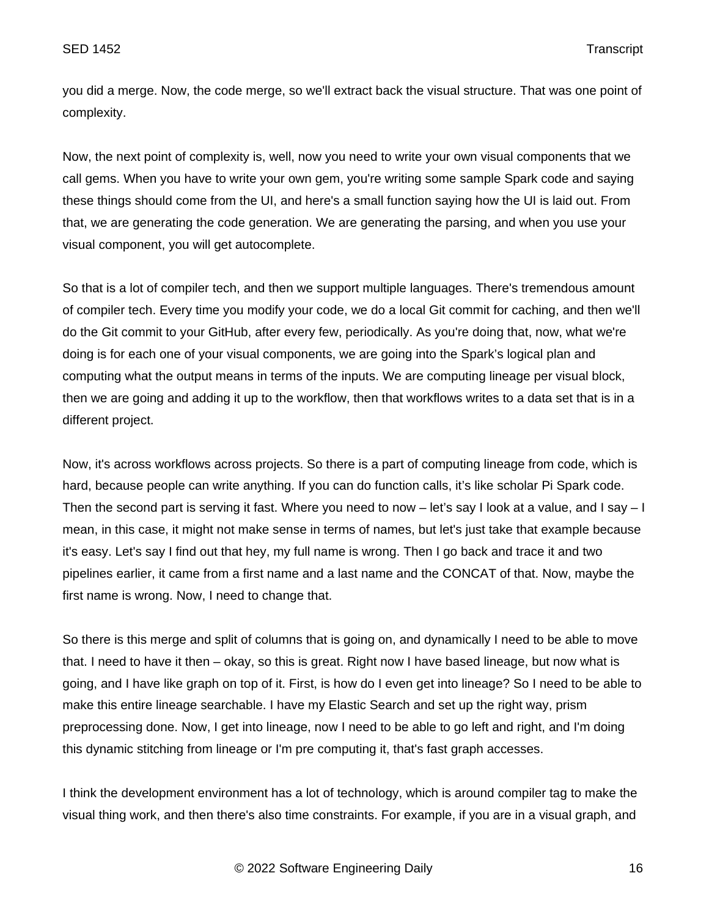you did a merge. Now, the code merge, so we'll extract back the visual structure. That was one point of complexity.

Now, the next point of complexity is, well, now you need to write your own visual components that we call gems. When you have to write your own gem, you're writing some sample Spark code and saying these things should come from the UI, and here's a small function saying how the UI is laid out. From that, we are generating the code generation. We are generating the parsing, and when you use your visual component, you will get autocomplete.

So that is a lot of compiler tech, and then we support multiple languages. There's tremendous amount of compiler tech. Every time you modify your code, we do a local Git commit for caching, and then we'll do the Git commit to your GitHub, after every few, periodically. As you're doing that, now, what we're doing is for each one of your visual components, we are going into the Spark's logical plan and computing what the output means in terms of the inputs. We are computing lineage per visual block, then we are going and adding it up to the workflow, then that workflows writes to a data set that is in a different project.

Now, it's across workflows across projects. So there is a part of computing lineage from code, which is hard, because people can write anything. If you can do function calls, it's like scholar Pi Spark code. Then the second part is serving it fast. Where you need to now – let's say I look at a value, and I say – I mean, in this case, it might not make sense in terms of names, but let's just take that example because it's easy. Let's say I find out that hey, my full name is wrong. Then I go back and trace it and two pipelines earlier, it came from a first name and a last name and the CONCAT of that. Now, maybe the first name is wrong. Now, I need to change that.

So there is this merge and split of columns that is going on, and dynamically I need to be able to move that. I need to have it then – okay, so this is great. Right now I have based lineage, but now what is going, and I have like graph on top of it. First, is how do I even get into lineage? So I need to be able to make this entire lineage searchable. I have my Elastic Search and set up the right way, prism preprocessing done. Now, I get into lineage, now I need to be able to go left and right, and I'm doing this dynamic stitching from lineage or I'm pre computing it, that's fast graph accesses.

I think the development environment has a lot of technology, which is around compiler tag to make the visual thing work, and then there's also time constraints. For example, if you are in a visual graph, and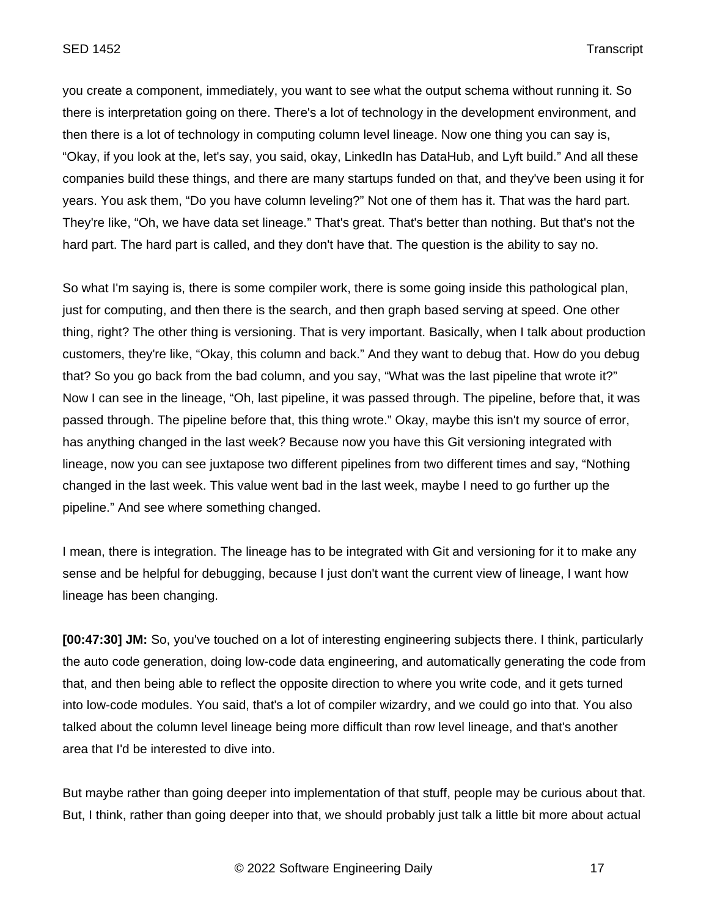you create a component, immediately, you want to see what the output schema without running it. So there is interpretation going on there. There's a lot of technology in the development environment, and then there is a lot of technology in computing column level lineage. Now one thing you can say is, "Okay, if you look at the, let's say, you said, okay, LinkedIn has DataHub, and Lyft build." And all these companies build these things, and there are many startups funded on that, and they've been using it for years. You ask them, "Do you have column leveling?" Not one of them has it. That was the hard part. They're like, "Oh, we have data set lineage." That's great. That's better than nothing. But that's not the hard part. The hard part is called, and they don't have that. The question is the ability to say no.

So what I'm saying is, there is some compiler work, there is some going inside this pathological plan, just for computing, and then there is the search, and then graph based serving at speed. One other thing, right? The other thing is versioning. That is very important. Basically, when I talk about production customers, they're like, "Okay, this column and back." And they want to debug that. How do you debug that? So you go back from the bad column, and you say, "What was the last pipeline that wrote it?" Now I can see in the lineage, "Oh, last pipeline, it was passed through. The pipeline, before that, it was passed through. The pipeline before that, this thing wrote." Okay, maybe this isn't my source of error, has anything changed in the last week? Because now you have this Git versioning integrated with lineage, now you can see juxtapose two different pipelines from two different times and say, "Nothing changed in the last week. This value went bad in the last week, maybe I need to go further up the pipeline." And see where something changed.

I mean, there is integration. The lineage has to be integrated with Git and versioning for it to make any sense and be helpful for debugging, because I just don't want the current view of lineage, I want how lineage has been changing.

**[00:47:30] JM:** So, you've touched on a lot of interesting engineering subjects there. I think, particularly the auto code generation, doing low-code data engineering, and automatically generating the code from that, and then being able to reflect the opposite direction to where you write code, and it gets turned into low-code modules. You said, that's a lot of compiler wizardry, and we could go into that. You also talked about the column level lineage being more difficult than row level lineage, and that's another area that I'd be interested to dive into.

But maybe rather than going deeper into implementation of that stuff, people may be curious about that. But, I think, rather than going deeper into that, we should probably just talk a little bit more about actual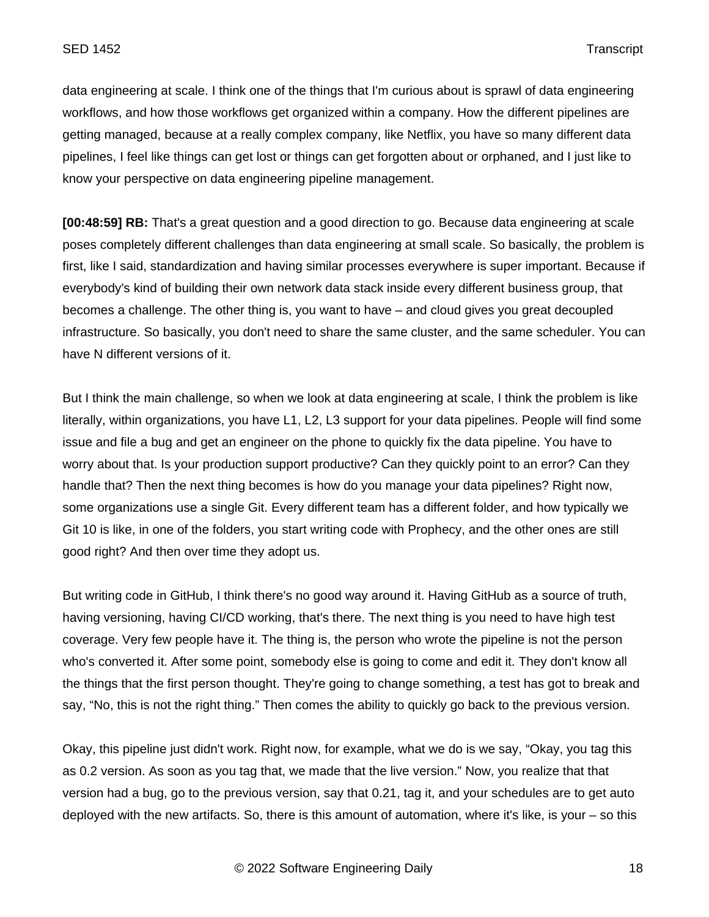data engineering at scale. I think one of the things that I'm curious about is sprawl of data engineering workflows, and how those workflows get organized within a company. How the different pipelines are getting managed, because at a really complex company, like Netflix, you have so many different data pipelines, I feel like things can get lost or things can get forgotten about or orphaned, and I just like to know your perspective on data engineering pipeline management.

**[00:48:59] RB:** That's a great question and a good direction to go. Because data engineering at scale poses completely different challenges than data engineering at small scale. So basically, the problem is first, like I said, standardization and having similar processes everywhere is super important. Because if everybody's kind of building their own network data stack inside every different business group, that becomes a challenge. The other thing is, you want to have – and cloud gives you great decoupled infrastructure. So basically, you don't need to share the same cluster, and the same scheduler. You can have N different versions of it.

But I think the main challenge, so when we look at data engineering at scale, I think the problem is like literally, within organizations, you have L1, L2, L3 support for your data pipelines. People will find some issue and file a bug and get an engineer on the phone to quickly fix the data pipeline. You have to worry about that. Is your production support productive? Can they quickly point to an error? Can they handle that? Then the next thing becomes is how do you manage your data pipelines? Right now, some organizations use a single Git. Every different team has a different folder, and how typically we Git 10 is like, in one of the folders, you start writing code with Prophecy, and the other ones are still good right? And then over time they adopt us.

But writing code in GitHub, I think there's no good way around it. Having GitHub as a source of truth, having versioning, having CI/CD working, that's there. The next thing is you need to have high test coverage. Very few people have it. The thing is, the person who wrote the pipeline is not the person who's converted it. After some point, somebody else is going to come and edit it. They don't know all the things that the first person thought. They're going to change something, a test has got to break and say, "No, this is not the right thing." Then comes the ability to quickly go back to the previous version.

Okay, this pipeline just didn't work. Right now, for example, what we do is we say, "Okay, you tag this as 0.2 version. As soon as you tag that, we made that the live version." Now, you realize that that version had a bug, go to the previous version, say that 0.21, tag it, and your schedules are to get auto deployed with the new artifacts. So, there is this amount of automation, where it's like, is your – so this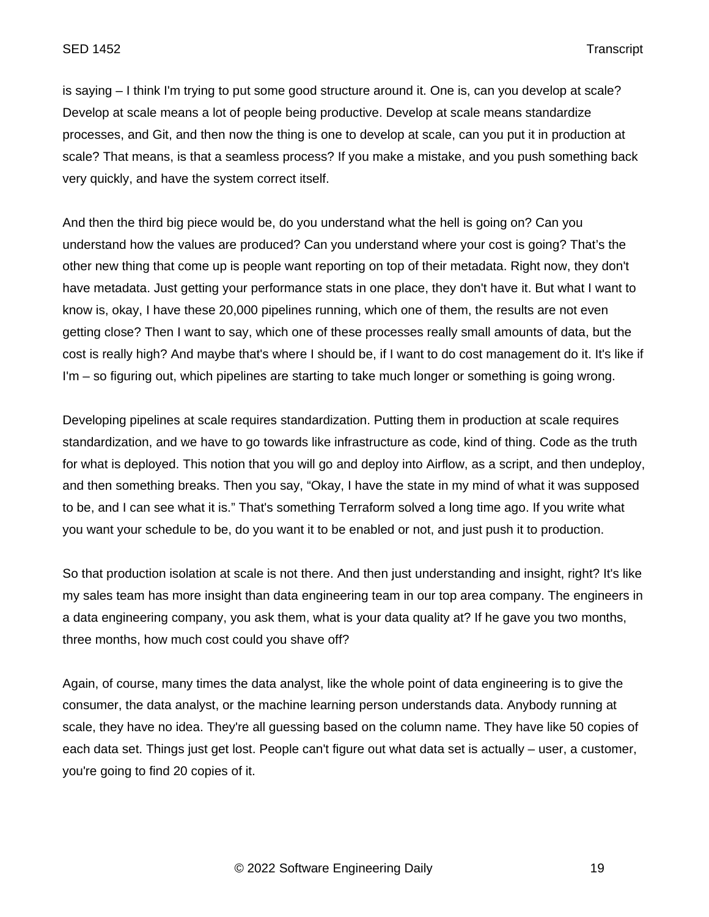is saying – I think I'm trying to put some good structure around it. One is, can you develop at scale? Develop at scale means a lot of people being productive. Develop at scale means standardize processes, and Git, and then now the thing is one to develop at scale, can you put it in production at scale? That means, is that a seamless process? If you make a mistake, and you push something back very quickly, and have the system correct itself.

And then the third big piece would be, do you understand what the hell is going on? Can you understand how the values are produced? Can you understand where your cost is going? That's the other new thing that come up is people want reporting on top of their metadata. Right now, they don't have metadata. Just getting your performance stats in one place, they don't have it. But what I want to know is, okay, I have these 20,000 pipelines running, which one of them, the results are not even getting close? Then I want to say, which one of these processes really small amounts of data, but the cost is really high? And maybe that's where I should be, if I want to do cost management do it. It's like if I'm – so figuring out, which pipelines are starting to take much longer or something is going wrong.

Developing pipelines at scale requires standardization. Putting them in production at scale requires standardization, and we have to go towards like infrastructure as code, kind of thing. Code as the truth for what is deployed. This notion that you will go and deploy into Airflow, as a script, and then undeploy, and then something breaks. Then you say, "Okay, I have the state in my mind of what it was supposed to be, and I can see what it is." That's something Terraform solved a long time ago. If you write what you want your schedule to be, do you want it to be enabled or not, and just push it to production.

So that production isolation at scale is not there. And then just understanding and insight, right? It's like my sales team has more insight than data engineering team in our top area company. The engineers in a data engineering company, you ask them, what is your data quality at? If he gave you two months, three months, how much cost could you shave off?

Again, of course, many times the data analyst, like the whole point of data engineering is to give the consumer, the data analyst, or the machine learning person understands data. Anybody running at scale, they have no idea. They're all guessing based on the column name. They have like 50 copies of each data set. Things just get lost. People can't figure out what data set is actually – user, a customer, you're going to find 20 copies of it.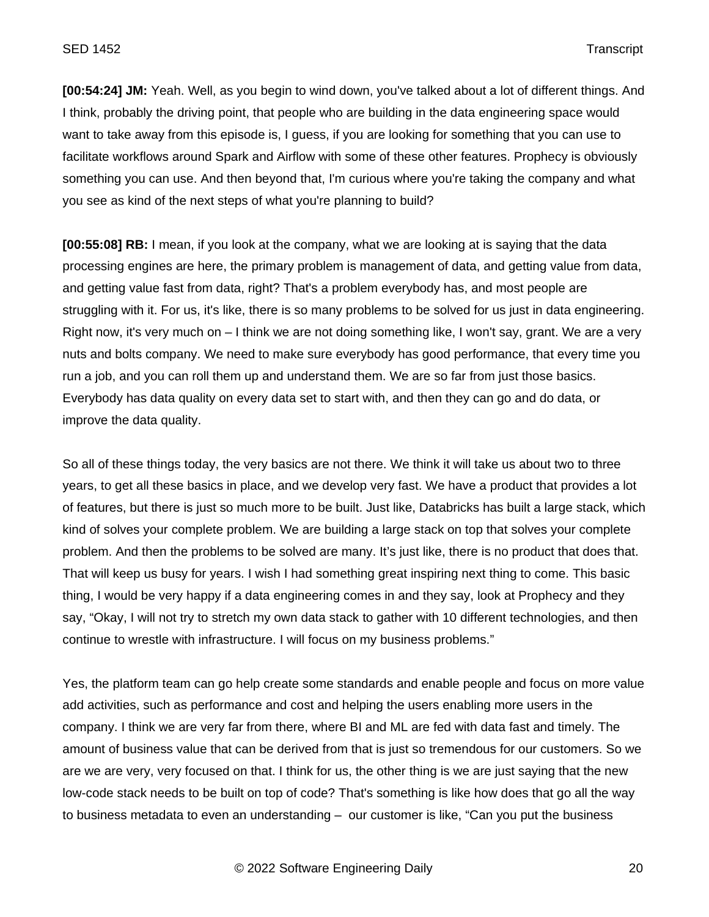**[00:54:24] JM:** Yeah. Well, as you begin to wind down, you've talked about a lot of different things. And I think, probably the driving point, that people who are building in the data engineering space would want to take away from this episode is, I guess, if you are looking for something that you can use to facilitate workflows around Spark and Airflow with some of these other features. Prophecy is obviously something you can use. And then beyond that, I'm curious where you're taking the company and what you see as kind of the next steps of what you're planning to build?

**[00:55:08] RB:** I mean, if you look at the company, what we are looking at is saying that the data processing engines are here, the primary problem is management of data, and getting value from data, and getting value fast from data, right? That's a problem everybody has, and most people are struggling with it. For us, it's like, there is so many problems to be solved for us just in data engineering. Right now, it's very much on – I think we are not doing something like, I won't say, grant. We are a very nuts and bolts company. We need to make sure everybody has good performance, that every time you run a job, and you can roll them up and understand them. We are so far from just those basics. Everybody has data quality on every data set to start with, and then they can go and do data, or improve the data quality.

So all of these things today, the very basics are not there. We think it will take us about two to three years, to get all these basics in place, and we develop very fast. We have a product that provides a lot of features, but there is just so much more to be built. Just like, Databricks has built a large stack, which kind of solves your complete problem. We are building a large stack on top that solves your complete problem. And then the problems to be solved are many. It's just like, there is no product that does that. That will keep us busy for years. I wish I had something great inspiring next thing to come. This basic thing, I would be very happy if a data engineering comes in and they say, look at Prophecy and they say, "Okay, I will not try to stretch my own data stack to gather with 10 different technologies, and then continue to wrestle with infrastructure. I will focus on my business problems."

Yes, the platform team can go help create some standards and enable people and focus on more value add activities, such as performance and cost and helping the users enabling more users in the company. I think we are very far from there, where BI and ML are fed with data fast and timely. The amount of business value that can be derived from that is just so tremendous for our customers. So we are we are very, very focused on that. I think for us, the other thing is we are just saying that the new low-code stack needs to be built on top of code? That's something is like how does that go all the way to business metadata to even an understanding – our customer is like, "Can you put the business